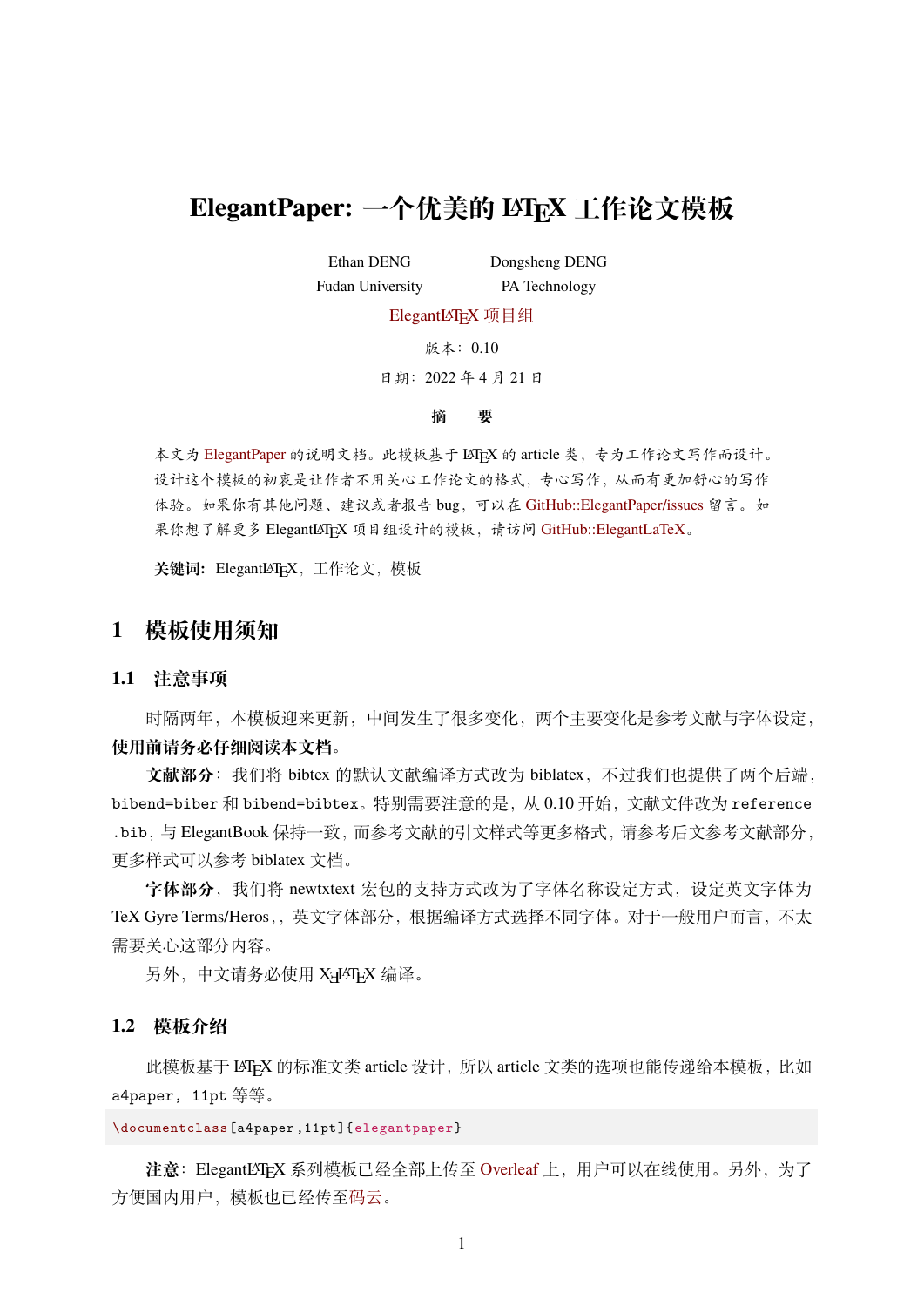# **ElegantPaper: 一个优美的 LATEX 工作论文模板**

Ethan DENG Fudan University Dongsheng DENG

PA Technology

[ElegantL](https://elegantlatex.org/)AT<sub>E</sub>X 项目组

版本:0.10

日期:2022 年 4 月 21 日

#### **摘 要**

本文为 [ElegantPaper](https://github.com/ElegantLaTeX/ElegantPaper/) 的说明文档。此模板基于 LATEX 的 article 类,专为工作论文写作而设计。 设计这个模板的初衷是让作者不用关心工作论文的格式,专心写作,从而有更加舒心的写作 体验。如果你有其他问题、建议或者报告 bug,可以在 [GitHub::ElegantPaper/issues](https://github.com/ElegantLaTeX/ElegantPaper/issues) 留言。如 果你想了解更多 ElegantLATEX 项目组设计的模板,请访问 [GitHub::ElegantLaTeX](https://github.com/ElegantLaTeX/)。

关键词: ElegantLAT<sub>E</sub>X, 工作论文, 模板

#### **1 模板使用须知**

**1.1 注意事项**

时隔两年,本模板迎来更新,中间发生了很多变化,两个主要变化是参考文献与字体设定, **使用前请务必仔细阅读本文档**。

**文献部分**:我们将 bibtex 的默认文献编译方式改为 biblatex,不过我们也提供了两个后端, bibend=biber 和 bibend=bibtex。特别需要注意的是, 从 0.10 开始, 文献文件改为 reference .bib, 与 ElegantBook 保持一致, 而参考文献的引文样式等更多格式, 请参考后文参考文献部分, 更多样式可以参考 biblatex 文档。

字**体部分**,我们将 newtxtext 宏包的支持方式改为了字体名称设定方式,设定英文字体为 TeX Gyre Terms/Heros,,英文字体部分,根据编译方式选择不同字体。对于一般用户而言,不太 需要关心这部分内容。

另外,中文请务必使用 XনLATFX 编译。

#### **1.2 模板介绍**

此模板基于 LATFX 的标准文类 article 设计, 所以 article 文类的选项也能传递给本模板, 比如 a4paper, 11pt 等等。

\documentclass[a4paper ,11pt]{elegantpaper}

注意: ElegantLAT<sub>E</sub>X 系列模板已经全部上传至 [Overleaf](https://www.overleaf.com/latex/templates/elegantpaper-template/yzghrqjhmmmr) 上, 用户可以在线使用。另外, 为了 方便国内用户,模板也已经传至[码云。](https://gitee.com/ElegantLaTeX/ElegantPaper)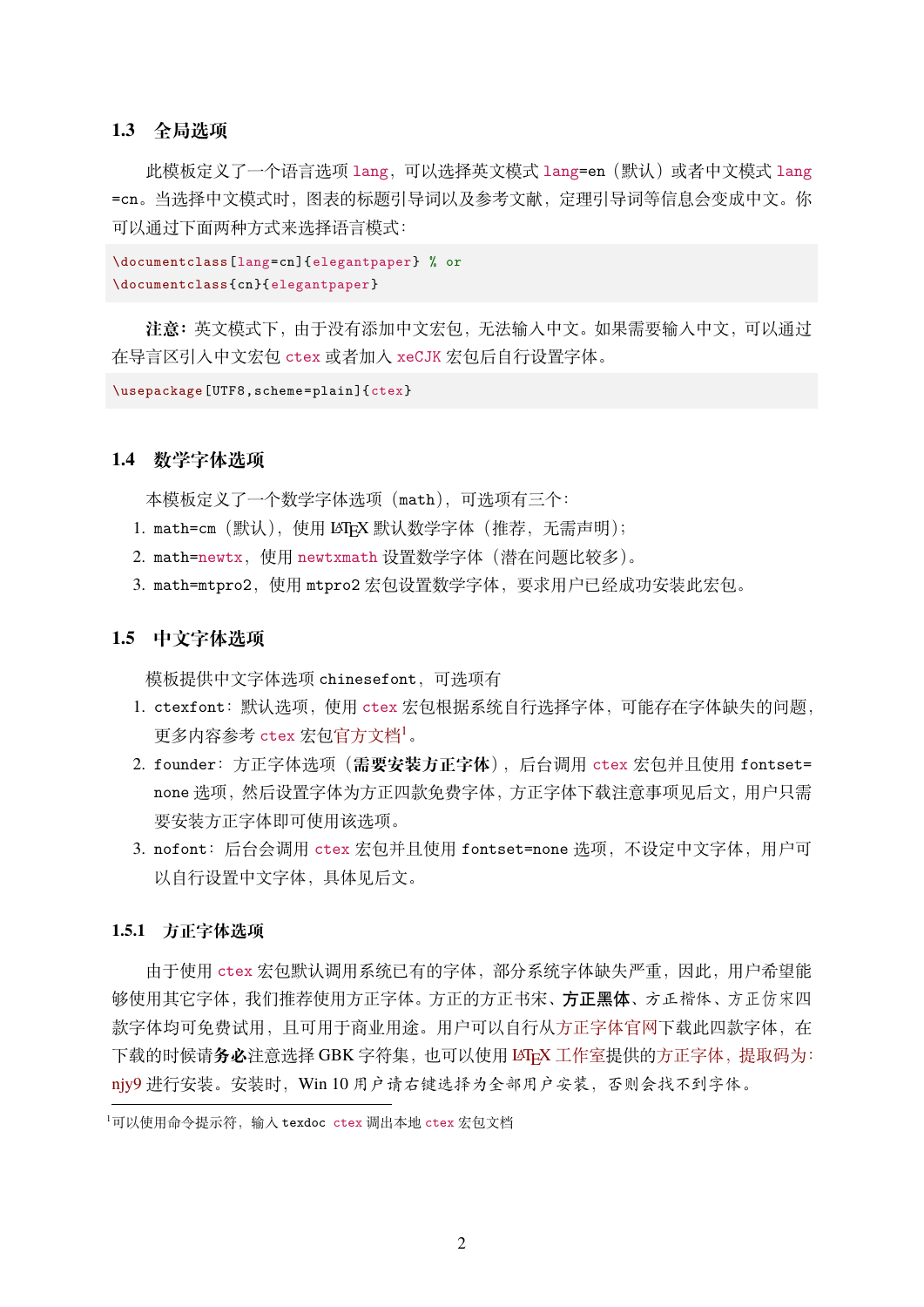#### **1.3 全局选项**

此模板定义了一个语言选项 lang, 可以选择英文模式 lang=en (默认) 或者中文模式 lang =cn。当选择中文模式时,图表的标题引导词以及参考文献,定理引导词等信息会变成中文。你 可以通过下面两种方式来选择语言模式:

```
\documentclass[lang=cn]{elegantpaper} % or
\documentclass{cn}{elegantpaper}
```
**注意:**英文模式下,由于没有添加中文宏包,无法输入中文。如果需要输入中文,可以通过 在导言区引入中文宏包 ctex 或者加入 xeCJK 宏包后自行设置字体。

\usepackage[UTF8,scheme=plain]{ctex}

#### **1.4 数学字体选项**

本模板定义了一个数学字体选项(math),可选项有三个:

- 1. math=cm (默认), 使用 LATpX 默认数学字体 (推荐, 无需声明);
- 2. math=newtx,使用 newtxmath 设置数学字体(潜在问题比较多)。
- 3. math=mtpro2,使用 mtpro2 宏包设置数学字体,要求用户已经成功安装此宏包。

#### **1.5 中文字体选项**

模板提供中文字体选项 chinesefont,可选项有

- 1. ctexfont:默认选项,使用 ctex 宏包根据系统自行选择字体,可能存在字体缺失的问题, 更多内容参考 ctex 宏包[官方文档](https://ctan.org/pkg/ctex)1。
- 2. founder:方正字体选项(**需要安装方正字体**),后台调用 ctex 宏包并且使用 fontset= none 选项,然后设置字体为方正四款免费字体,方正字体下载注意事项见后文,用户只需 要安装方正字体即可使用该选项。
- 3. nofont:后台会调用 ctex 宏包并且使用 fontset=none 选项,不设定中文字体,用户可 以自行设置中文字体,具体见后文。

#### **1.5.1 方正字体选项**

由于使用 ctex 宏包默认调用系统已有的字体,部分系统字体缺失严重,因此,用户希望能 够使用其它字体,我们推荐使用方正字体。方正的方正书宋、方正黑体、方正楷体、方正仿宋四 款字体均可免费试用,且可用于商业用途。用户可以自行[从方正字体官网](http://www.foundertype.com/)下载此四款字体, 在 下载的时候请务必注意选择 GBK 字符集, 也可以使用 LATEX [工作室](https://www.latexstudio.net/)提供的方正字体, 提取码为: [njy9](https://pan.baidu.com/s/1BgbQM7LoinY7m8yeP25Y7Q) 进行安装。安装时,Win 10 用户请右键选择为全部用户安装,否则会找不到字体。

 $1$ 可以使用命令提示符,输入 texdoc ctex 调出本地 ctex 宏包文档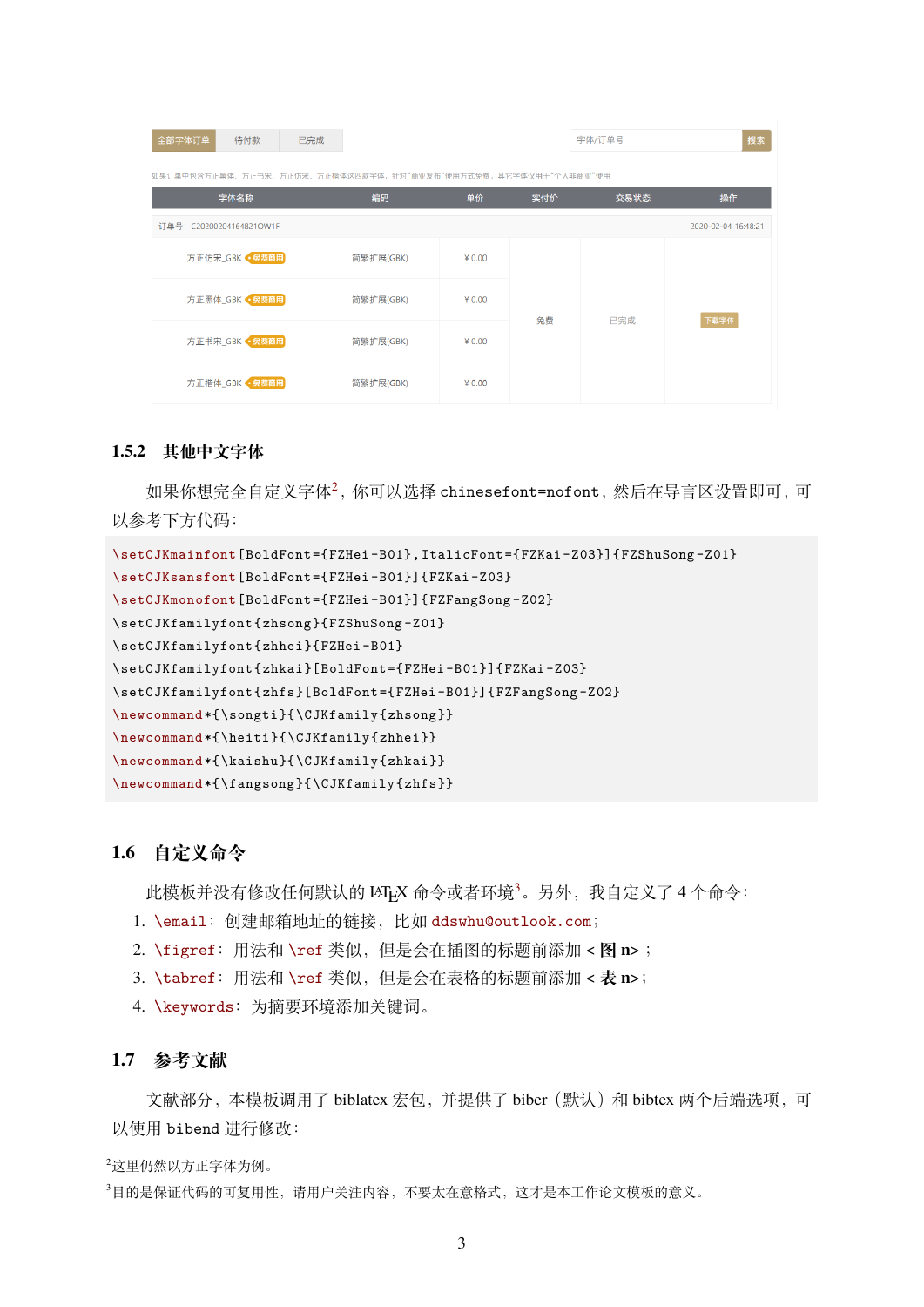| 全部字体订单<br>待付款                                                   | 已完成       |          |     | 字体/订单号 | 搜索   |
|-----------------------------------------------------------------|-----------|----------|-----|--------|------|
| 如果订单中包含方正黑体、方正书宋、方正仿宋、方正楷体这四款字体,针对"商业发布"使用方式免费,其它字体仅用于"个人非商业"使用 |           |          |     |        |      |
| 字体名称                                                            | 编码        | 单价       | 实付价 | 交易状态   | 操作   |
| 订单号: C20200204164821OW1F<br>2020-02-04 16:48:21                 |           |          |     |        |      |
| 方正仿宋 GBK • 免费商用                                                 | 简繁扩展(GBK) | $¥$ 0.00 | 免费  | 已完成    | 下载字体 |
| 方正黑体_GBK · 免费商用                                                 | 简繁扩展(GBK) | $¥$ 0.00 |     |        |      |
| 方正书宋 GBK • 免费商用                                                 | 简繁扩展(GBK) | $¥$ 0.00 |     |        |      |
| 方正楷体_GBK ● 晃费商用                                                 | 简繁扩展(GBK) | $¥$ 0.00 |     |        |      |

#### **1.5.2 其他中文字体**

如果你想完全自定义字体2,你可以选择 chinesefont=nofont,然后在导言区设置即可,可 以参考下方代码:

```
\setCJKmainfont[BoldFont={FZHei -B01},ItalicFont={FZKai -Z03}]{FZShuSong -Z01}
\setCJKsansfont[BoldFont={FZHei -B01}]{FZKai -Z03}
\setCJKmonofont[BoldFont={FZHei -B01}]{FZFangSong -Z02}
\setCJKfamilyfont{zhsong}{FZShuSong -Z01}
\setCJKfamilyfont{zhhei}{FZHei -B01}
\setCJKfamilyfont{zhkai}[BoldFont={FZHei -B01}]{FZKai -Z03}
\setCJKfamilyfont{zhfs}[BoldFont={FZHei -B01}]{FZFangSong -Z02}
\newcommand*{\songti}{\CJKfamily{zhsong}}
\newcommand*{\heiti}{\CJKfamily{zhhei}}
\newcommand*{\kaishu}{\CJKfamily{zhkai}}
\newcommand*{\fangsong}{\CJKfamily{zhfs}}
```
#### **1.6 自定义命令**

此模板并没有修改任何默认的 LATEX 命令或者环境<sup>3</sup>。另外,我自定义了4个命令:

- 1. \email:创建邮箱地址的链接,比如 [ddswhu@outlook.com](mailto:ddswhu@outlook.com);
- 2. \figref:用法和 \ref 类似,但是会在插图的标题前添加 < **图 n**> ;
- 3. \tabref:用法和 \ref 类似,但是会在表格的标题前添加 < **表 n**>;
- 4. \keywords:为摘要环境添加关键词。

#### **1.7 参考文献**

文献部分,本模板调用了 biblatex 宏包,并提供了 biber (默认)和 bibtex 两个后端选项, 可 以使用 bibend 进行修改:

<sup>2</sup>这里仍然以方正字体为例。

<sup>3</sup>目的是保证代码的可复用性,请用户关注内容,不要太在意格式,这才是本工作论文模板的意义。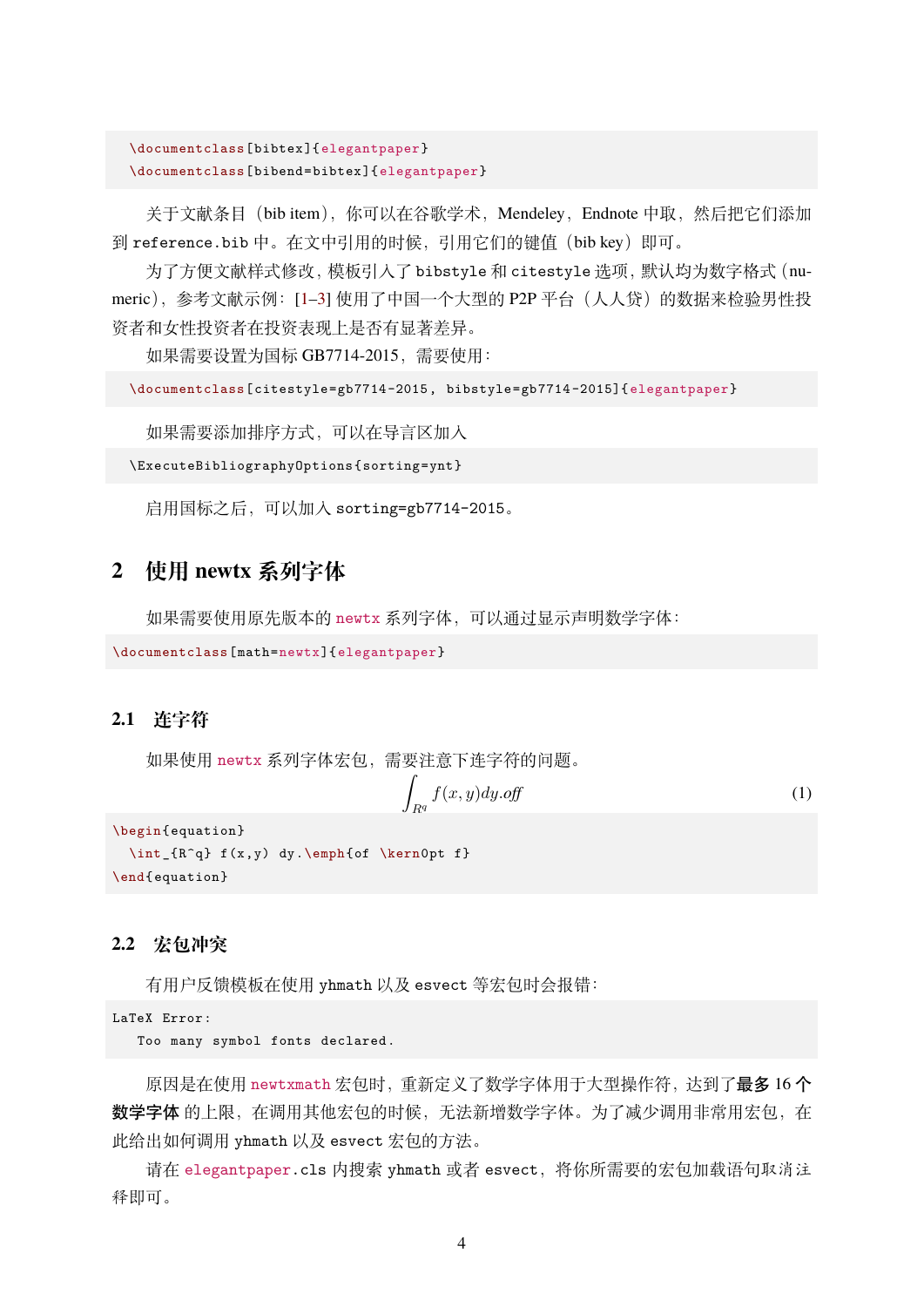```
\documentclass[bibtex]{elegantpaper}
\documentclass[bibend=bibtex]{elegantpaper}
```
关于文献条目 (bib item), 你可以在谷歌学术, Mendeley, Endnote 中取, 然后把它们添加 到 reference.bib 中。在文中引用的时候,引用它们的键值(bib key)即可。

为了方便文献样式修改, 模板引入了 bibstyle 和 citestyle 选项, 默认均为数字格式 (nu-meric), 参考文献示例: [[1](#page-4-0)-[3\]](#page-4-1) 使用了中国一个大型的 P2P 平台(人人贷) 的数据来检验男性投 资者和女性投资者在投资表现上是否有显著差异。

如果需要设置为国标 GB7714-2015,需要使用:

```
\documentclass[citestyle=gb7714-2015, bibstyle=gb7714-2015]{ elegantpaper}
```
如果需要添加排序方式,可以在导言区加入

\ExecuteBibliographyOptions{sorting=ynt}

启用国标之后,可以加入 sorting=gb7714-2015。

## **2 使用 newtx 系列字体**

如果需要使用原先版本的 newtx 系列字体,可以通过显示声明数学字体:

```
\documentclass[math=newtx]{elegantpaper}
```
#### **2.1 连字符**

如果使用 newtx 系列字体宏包,需要注意下连字符的问题。

$$
\int_{R^q} f(x, y) dy. off \tag{1}
$$

```
\begin{equation}
  \int_{R^q} f(x,y) dy.\emph{of \kern0pt f}
\end{equation}
```
#### **2.2 宏包冲突**

有用户反馈模板在使用 yhmath 以及 esvect 等宏包时会报错:

```
LaTeX Error:
```
Too many symbol fonts declared.

原因是在使用 newtxmath 宏包时, 重新定义了数学字体用于大型操作符, 达到了最多 16个 数学字体 的上限, 在调用其他宏包的时候, 无法新增数学字体。为了减少调用非常用宏包, 在 此给出如何调用 yhmath 以及 esvect 宏包的方法。

请在 elegantpaper.cls 内搜索 yhmath 或者 esvect,将你所需要的宏包加载语句取消注 释即可。